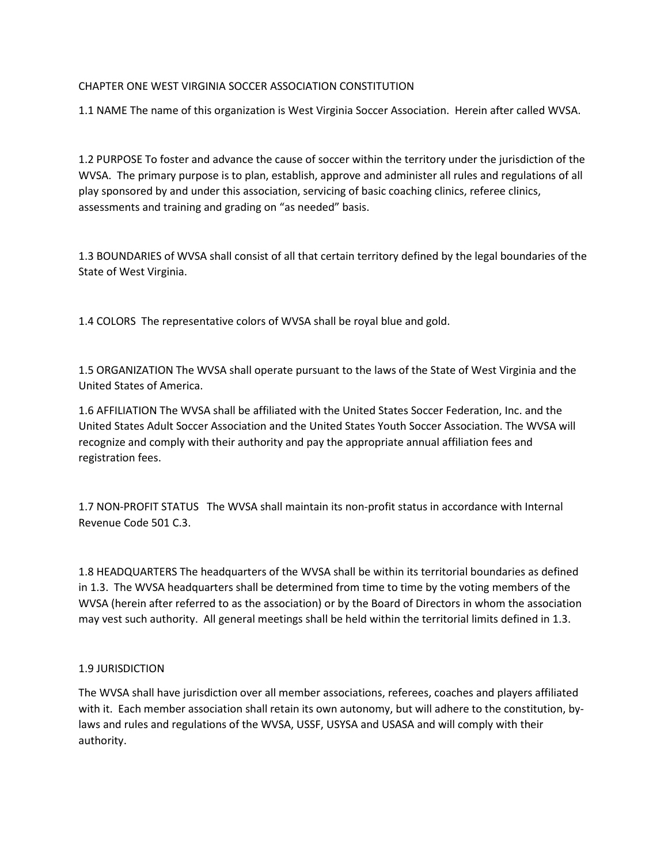## CHAPTER ONE WEST VIRGINIA SOCCER ASSOCIATION CONSTITUTION

1.1 NAME The name of this organization is West Virginia Soccer Association. Herein after called WVSA.

1.2 PURPOSE To foster and advance the cause of soccer within the territory under the jurisdiction of the WVSA. The primary purpose is to plan, establish, approve and administer all rules and regulations of all play sponsored by and under this association, servicing of basic coaching clinics, referee clinics, assessments and training and grading on "as needed" basis.

1.3 BOUNDARIES of WVSA shall consist of all that certain territory defined by the legal boundaries of the State of West Virginia.

1.4 COLORS The representative colors of WVSA shall be royal blue and gold.

1.5 ORGANIZATION The WVSA shall operate pursuant to the laws of the State of West Virginia and the United States of America.

1.6 AFFILIATION The WVSA shall be affiliated with the United States Soccer Federation, Inc. and the United States Adult Soccer Association and the United States Youth Soccer Association. The WVSA will recognize and comply with their authority and pay the appropriate annual affiliation fees and registration fees.

1.7 NON-PROFIT STATUS The WVSA shall maintain its non-profit status in accordance with Internal Revenue Code 501 C.3.

1.8 HEADQUARTERS The headquarters of the WVSA shall be within its territorial boundaries as defined in 1.3. The WVSA headquarters shall be determined from time to time by the voting members of the WVSA (herein after referred to as the association) or by the Board of Directors in whom the association may vest such authority. All general meetings shall be held within the territorial limits defined in 1.3.

## 1.9 JURISDICTION

The WVSA shall have jurisdiction over all member associations, referees, coaches and players affiliated with it. Each member association shall retain its own autonomy, but will adhere to the constitution, bylaws and rules and regulations of the WVSA, USSF, USYSA and USASA and will comply with their authority.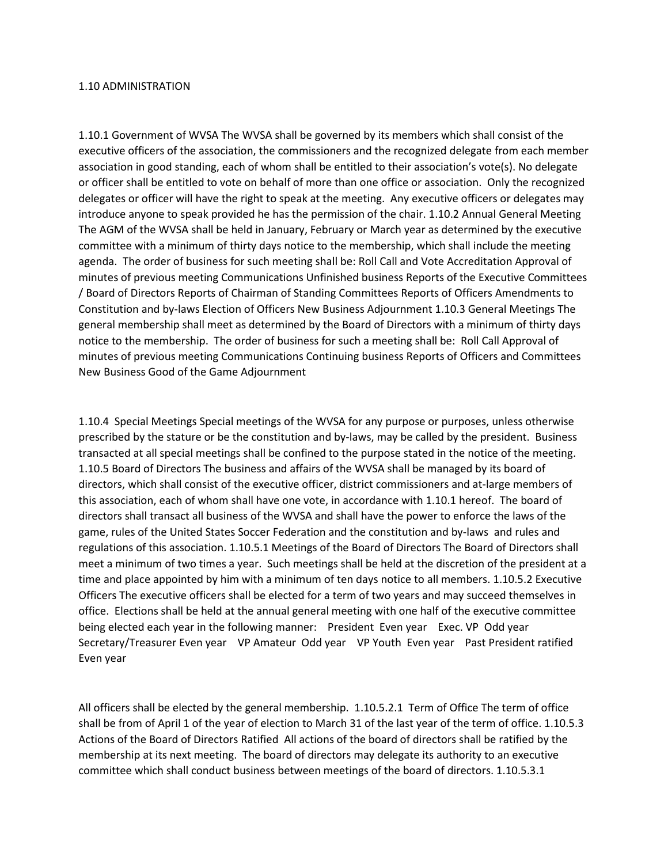## 1.10 ADMINISTRATION

1.10.1 Government of WVSA The WVSA shall be governed by its members which shall consist of the executive officers of the association, the commissioners and the recognized delegate from each member association in good standing, each of whom shall be entitled to their association's vote(s). No delegate or officer shall be entitled to vote on behalf of more than one office or association. Only the recognized delegates or officer will have the right to speak at the meeting. Any executive officers or delegates may introduce anyone to speak provided he has the permission of the chair. 1.10.2 Annual General Meeting The AGM of the WVSA shall be held in January, February or March year as determined by the executive committee with a minimum of thirty days notice to the membership, which shall include the meeting agenda. The order of business for such meeting shall be: Roll Call and Vote Accreditation Approval of minutes of previous meeting Communications Unfinished business Reports of the Executive Committees / Board of Directors Reports of Chairman of Standing Committees Reports of Officers Amendments to Constitution and by-laws Election of Officers New Business Adjournment 1.10.3 General Meetings The general membership shall meet as determined by the Board of Directors with a minimum of thirty days notice to the membership. The order of business for such a meeting shall be: Roll Call Approval of minutes of previous meeting Communications Continuing business Reports of Officers and Committees New Business Good of the Game Adjournment

1.10.4 Special Meetings Special meetings of the WVSA for any purpose or purposes, unless otherwise prescribed by the stature or be the constitution and by-laws, may be called by the president. Business transacted at all special meetings shall be confined to the purpose stated in the notice of the meeting. 1.10.5 Board of Directors The business and affairs of the WVSA shall be managed by its board of directors, which shall consist of the executive officer, district commissioners and at-large members of this association, each of whom shall have one vote, in accordance with 1.10.1 hereof. The board of directors shall transact all business of the WVSA and shall have the power to enforce the laws of the game, rules of the United States Soccer Federation and the constitution and by-laws and rules and regulations of this association. 1.10.5.1 Meetings of the Board of Directors The Board of Directors shall meet a minimum of two times a year. Such meetings shall be held at the discretion of the president at a time and place appointed by him with a minimum of ten days notice to all members. 1.10.5.2 Executive Officers The executive officers shall be elected for a term of two years and may succeed themselves in office. Elections shall be held at the annual general meeting with one half of the executive committee being elected each year in the following manner: President Even year Exec. VP Odd year Secretary/Treasurer Even year VP Amateur Odd year VP Youth Even year Past President ratified Even year

All officers shall be elected by the general membership. 1.10.5.2.1 Term of Office The term of office shall be from of April 1 of the year of election to March 31 of the last year of the term of office. 1.10.5.3 Actions of the Board of Directors Ratified All actions of the board of directors shall be ratified by the membership at its next meeting. The board of directors may delegate its authority to an executive committee which shall conduct business between meetings of the board of directors. 1.10.5.3.1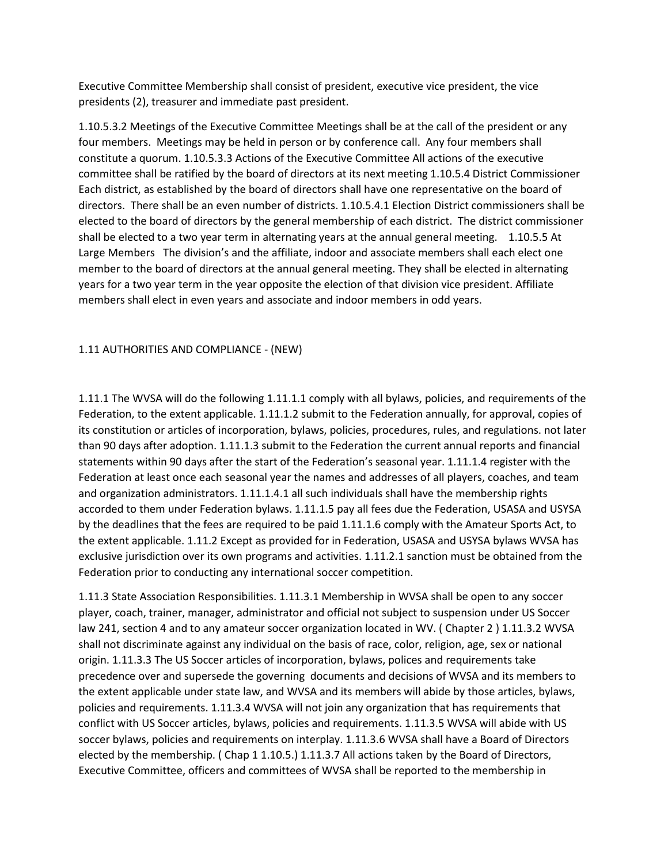Executive Committee Membership shall consist of president, executive vice president, the vice presidents (2), treasurer and immediate past president.

1.10.5.3.2 Meetings of the Executive Committee Meetings shall be at the call of the president or any four members. Meetings may be held in person or by conference call. Any four members shall constitute a quorum. 1.10.5.3.3 Actions of the Executive Committee All actions of the executive committee shall be ratified by the board of directors at its next meeting 1.10.5.4 District Commissioner Each district, as established by the board of directors shall have one representative on the board of directors. There shall be an even number of districts. 1.10.5.4.1 Election District commissioners shall be elected to the board of directors by the general membership of each district. The district commissioner shall be elected to a two year term in alternating years at the annual general meeting. 1.10.5.5 At Large Members The division's and the affiliate, indoor and associate members shall each elect one member to the board of directors at the annual general meeting. They shall be elected in alternating years for a two year term in the year opposite the election of that division vice president. Affiliate members shall elect in even years and associate and indoor members in odd years.

## 1.11 AUTHORITIES AND COMPLIANCE - (NEW)

1.11.1 The WVSA will do the following 1.11.1.1 comply with all bylaws, policies, and requirements of the Federation, to the extent applicable. 1.11.1.2 submit to the Federation annually, for approval, copies of its constitution or articles of incorporation, bylaws, policies, procedures, rules, and regulations. not later than 90 days after adoption. 1.11.1.3 submit to the Federation the current annual reports and financial statements within 90 days after the start of the Federation's seasonal year. 1.11.1.4 register with the Federation at least once each seasonal year the names and addresses of all players, coaches, and team and organization administrators. 1.11.1.4.1 all such individuals shall have the membership rights accorded to them under Federation bylaws. 1.11.1.5 pay all fees due the Federation, USASA and USYSA by the deadlines that the fees are required to be paid 1.11.1.6 comply with the Amateur Sports Act, to the extent applicable. 1.11.2 Except as provided for in Federation, USASA and USYSA bylaws WVSA has exclusive jurisdiction over its own programs and activities. 1.11.2.1 sanction must be obtained from the Federation prior to conducting any international soccer competition.

1.11.3 State Association Responsibilities. 1.11.3.1 Membership in WVSA shall be open to any soccer player, coach, trainer, manager, administrator and official not subject to suspension under US Soccer law 241, section 4 and to any amateur soccer organization located in WV. ( Chapter 2 ) 1.11.3.2 WVSA shall not discriminate against any individual on the basis of race, color, religion, age, sex or national origin. 1.11.3.3 The US Soccer articles of incorporation, bylaws, polices and requirements take precedence over and supersede the governing documents and decisions of WVSA and its members to the extent applicable under state law, and WVSA and its members will abide by those articles, bylaws, policies and requirements. 1.11.3.4 WVSA will not join any organization that has requirements that conflict with US Soccer articles, bylaws, policies and requirements. 1.11.3.5 WVSA will abide with US soccer bylaws, policies and requirements on interplay. 1.11.3.6 WVSA shall have a Board of Directors elected by the membership. ( Chap 1 1.10.5.) 1.11.3.7 All actions taken by the Board of Directors, Executive Committee, officers and committees of WVSA shall be reported to the membership in